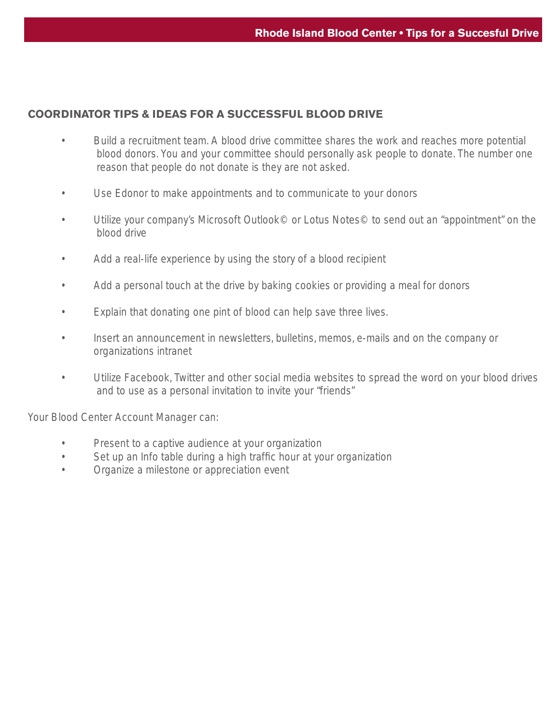## **COORDINATOR TIPS & IDEAS FOR A SUCCESSFUL BLOOD DRIVE**

- Build a recruitment team. A blood drive committee shares the work and reaches more potential blood donors. You and your committee should personally ask people to donate. The number one reason that people do not donate is they are not asked.
- Use Edonor to make appointments and to communicate to your donors
- Utilize your company's Microsoft Outlook© or Lotus Notes© to send out an "appointment" on the blood drive
- Add a real-life experience by using the story of a blood recipient
- Add a personal touch at the drive by baking cookies or providing a meal for donors
- Explain that donating one pint of blood can help save three lives.
- Insert an announcement in newsletters, bulletins, memos, e-mails and on the company or organizations intranet
- Utilize Facebook, Twitter and other social media websites to spread the word on your blood drives and to use as a personal invitation to invite your "friends"

Your Blood Center Account Manager can:

- Present to a captive audience at your organization
- Set up an Info table during a high traffic hour at your organization
- Organize a milestone or appreciation event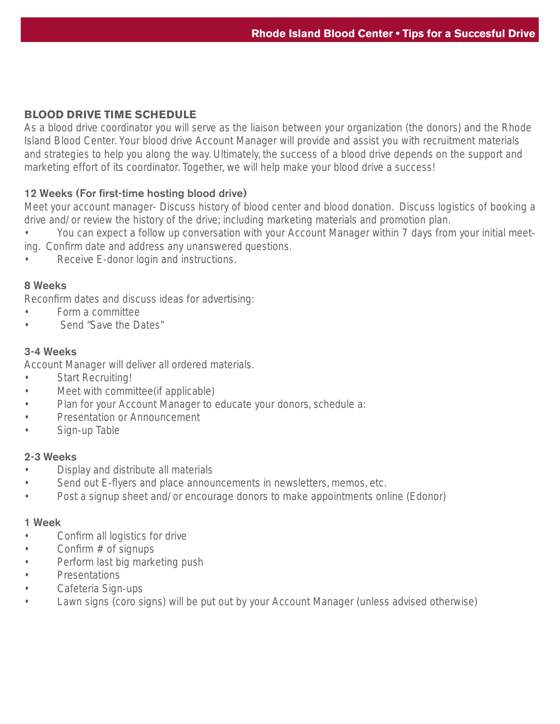# **BLOOD DRIVE TIME SCHEDULE**

As a blood drive coordinator you will serve as the liaison between your organization (the donors) and the Rhode Island Blood Center. Your blood drive Account Manager will provide and assist you with recruitment materials and strategies to help you along the way. Ultimately, the success of a blood drive depends on the support and marketing effort of its coordinator. Together, we will help make your blood drive a success!

## 12 Weeks (For first-time hosting blood drive)

Meet your account manager- Discuss history of blood center and blood donation. Discuss logistics of booking a drive and/or review the history of the drive; including marketing materials and promotion plan.

• You can expect a follow up conversation with your Account Manager within 7 days from your initial meeting. Confirm date and address any unanswered questions.

Receive E-donor login and instructions.

### 8 Weeks

Reconfirm dates and discuss ideas for advertising:

- Form a committee
- Send "Save the Dates"

### 3-4 Weeks

Account Manager will deliver all ordered materials.

- Start Recruiting!
- Meet with committee(if applicable)
- Plan for your Account Manager to educate your donors, schedule a:
- Presentation or Announcement
- Sign-up Table

### 2-3 Weeks

- Display and distribute all materials
- Send out E-flyers and place announcements in newsletters, memos, etc.
- Post a signup sheet and/or encourage donors to make appointments online (Edonor)

#### 1 Week

- Confirm all logistics for drive
- Confirm  $#$  of signups
- Perform last big marketing push
- Presentations
- Cafeteria Sign-ups
- Lawn signs (coro signs) will be put out by your Account Manager (unless advised otherwise)